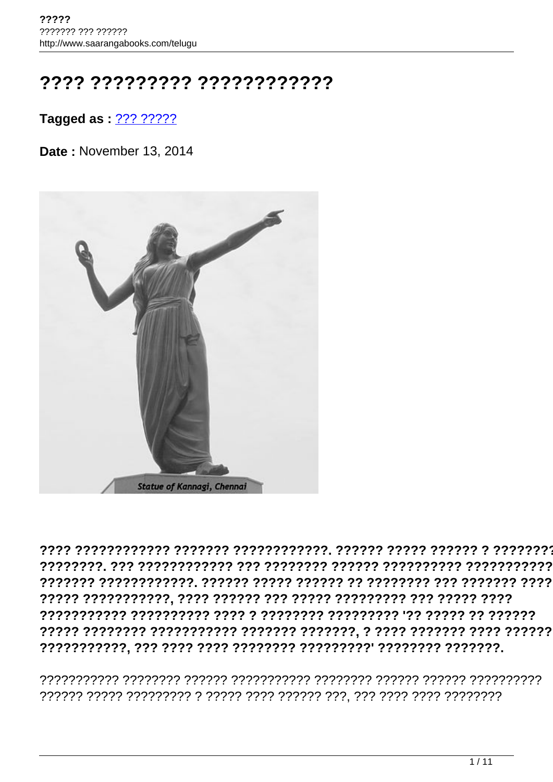## ???? ????????? ????????????

Tagged as: ??? ?????

Date: November 13, 2014

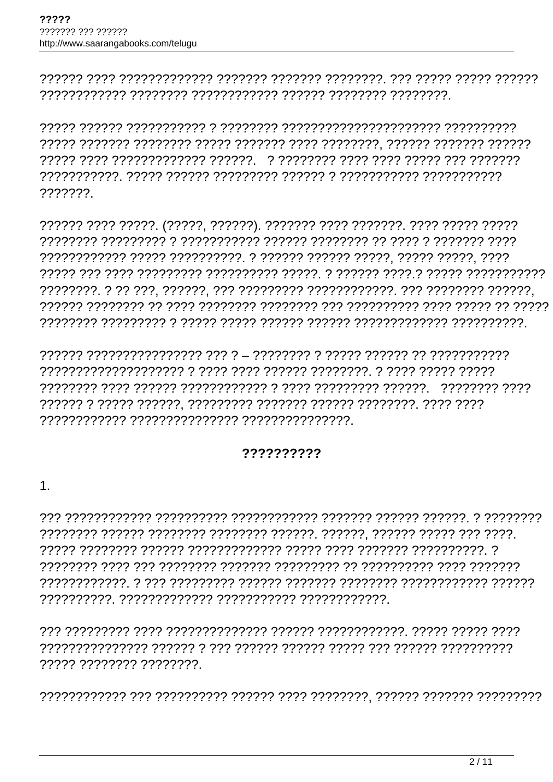???????

## ??????????

 $1<sub>1</sub>$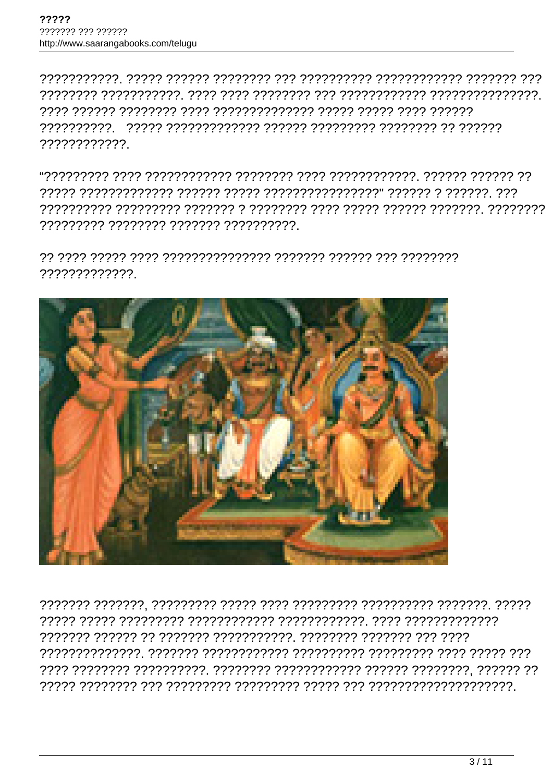????????????

וְיָ וְיַרְיִרְיָךְ וְיִרְיִרְיָךְ וְיִרְיְרְיְרְיְרְיְרְיָרְיָרְ וְיִרְיְרְיִרְרְיִרְיִרְיִרְיִרְיָרְיִרְיִרְ 777777777 77777777 7777777 7777777777

?????????????

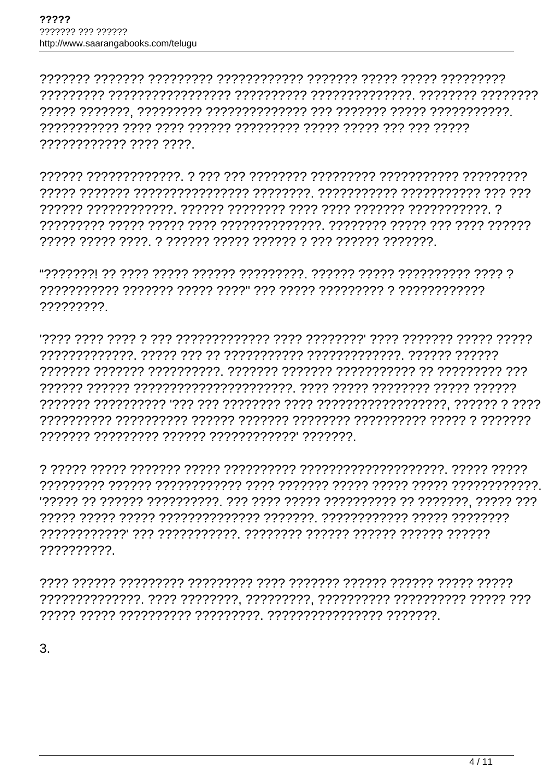?????????

ירריך ריכוך הרכון הרכון הרכון ירוכון הרכון הרכון הרכון הרכון הרכון הרכון הרכון ה 

??????????

 $\mathcal{S}$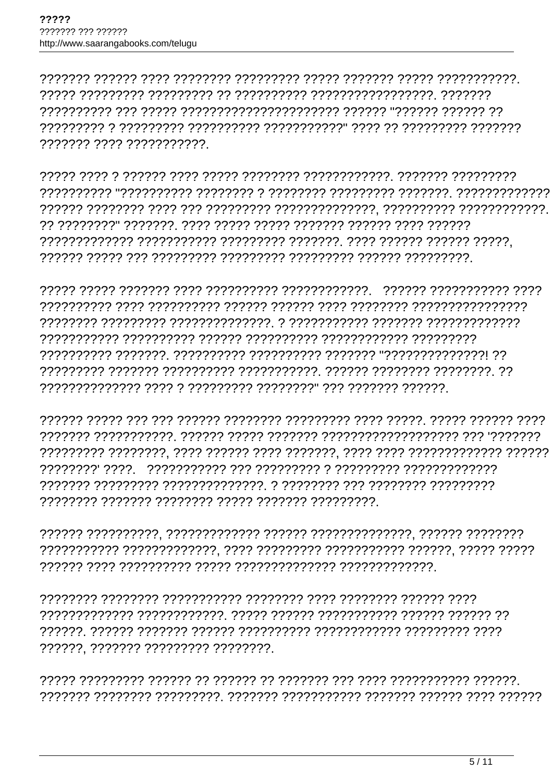??????. ??????? ????????? ????????.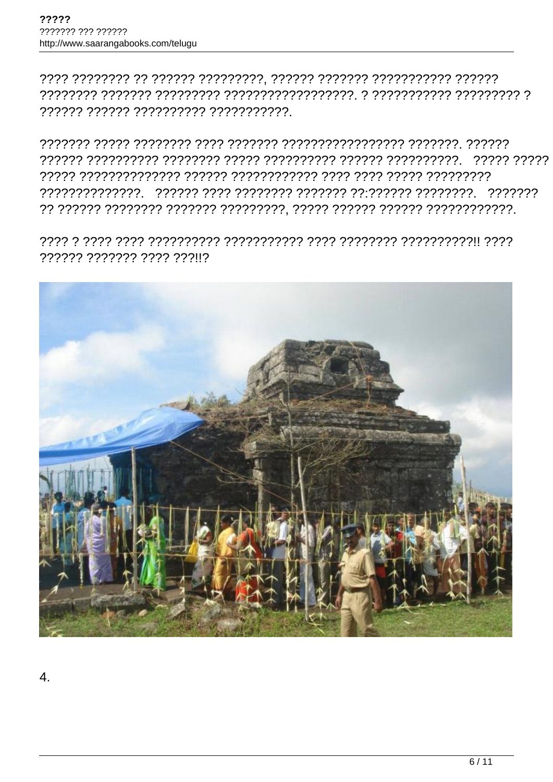?????? ??????? ???? ???!!?

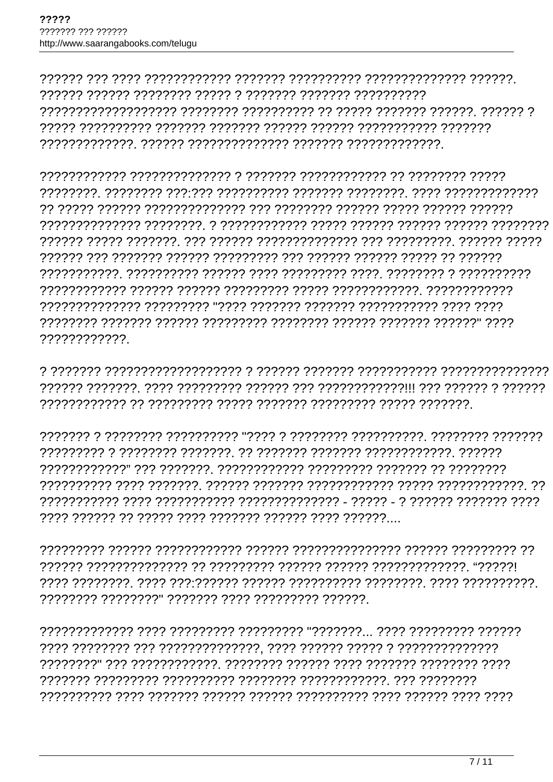????????????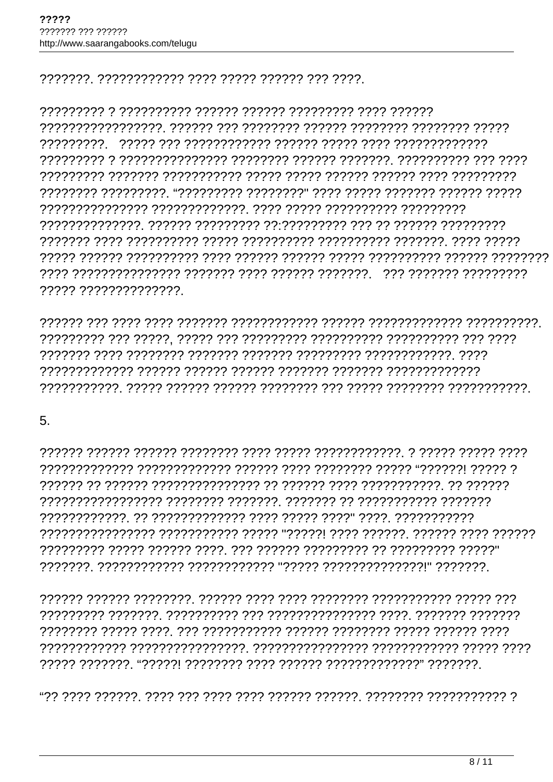ירויריוי וייניון וייניון וייניון וייניון ויוניון ויוניון ויוניון ויוניון ויוניון ויוניון ויוניון ויוניון ויוני 

5.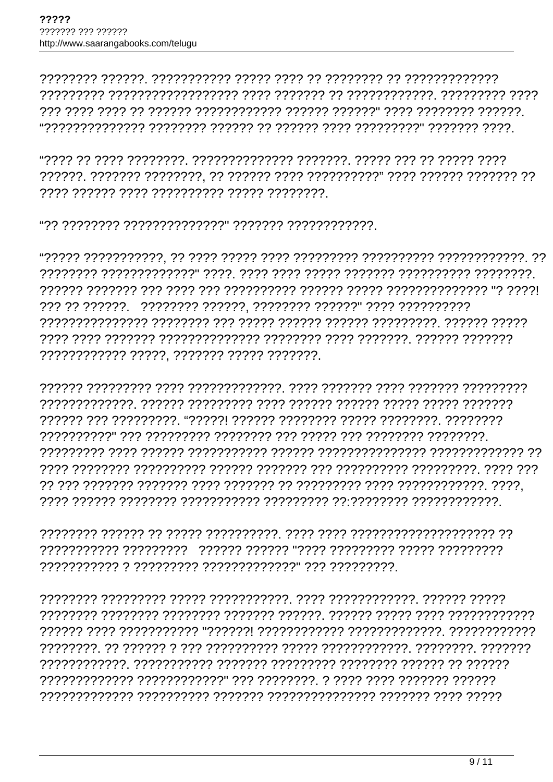יורי ויולי ויולי היו ויולי ויוליון ויוויוויוויוויון ויוויוויו ויוויון ויווי ויווי ויוויון 

.7297272727 32227222222272777 2222222 222324 123

<u>וְיִיְיָיָ</u> יִ" יְיִיְיִיְיִיְיִיְיִיְיִי יִיְיִיְיָיָ יִיְיִיְיִיְיִי יְיִיְיֹוֹ יִיְיָי יִיְיָ יִיְיִיְיָיִ יִ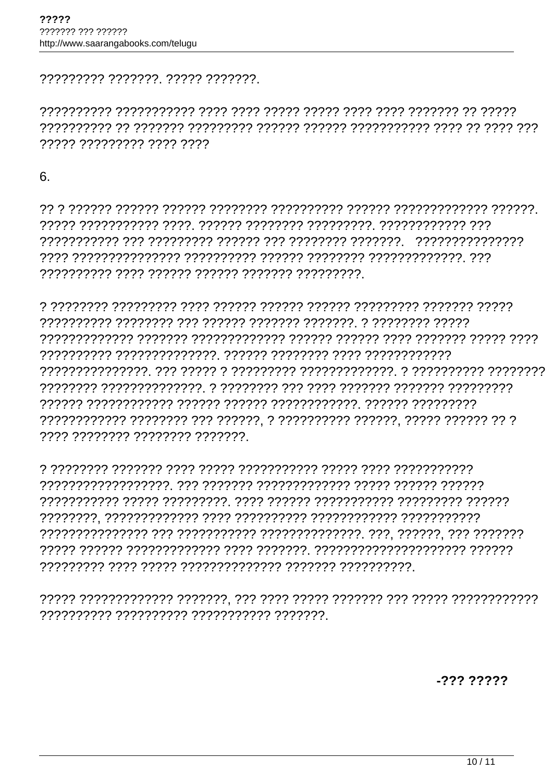777777777 7777777 77777 7777777

6.

7777 77777777 77777777 77777777.

 $-2222222$